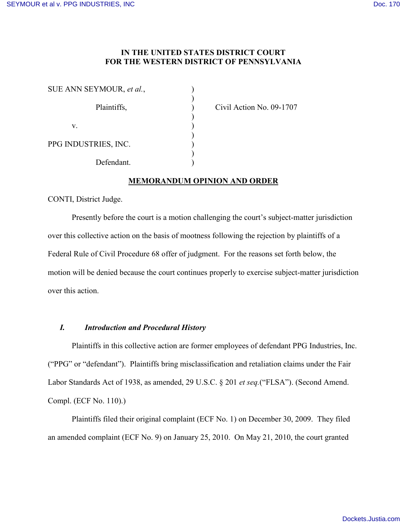# **IN THE UNITED STATES DISTRICT COURT FOR THE WESTERN DISTRICT OF PENNSYLVANIA**

| SUE ANN SEYMOUR, et al., |  |
|--------------------------|--|
| Plaintiffs,              |  |
| V                        |  |
| PPG INDUSTRIES, INC.     |  |
| Defendant.               |  |

Civil Action No. 09-1707

# **MEMORANDUM OPINION AND ORDER**

CONTI, District Judge.

Presently before the court is a motion challenging the court's subject-matter jurisdiction over this collective action on the basis of mootness following the rejection by plaintiffs of a Federal Rule of Civil Procedure 68 offer of judgment. For the reasons set forth below, the motion will be denied because the court continues properly to exercise subject-matter jurisdiction over this action.

# *I. Introduction and Procedural History*

Plaintiffs in this collective action are former employees of defendant PPG Industries, Inc. ("PPG" or "defendant"). Plaintiffs bring misclassification and retaliation claims under the Fair Labor Standards Act of 1938, as amended, 29 U.S.C. § 201 *et seq.*("FLSA"). (Second Amend. Compl. (ECF No. 110).)

Plaintiffs filed their original complaint (ECF No. 1) on December 30, 2009. They filed an amended complaint (ECF No. 9) on January 25, 2010. On May 21, 2010, the court granted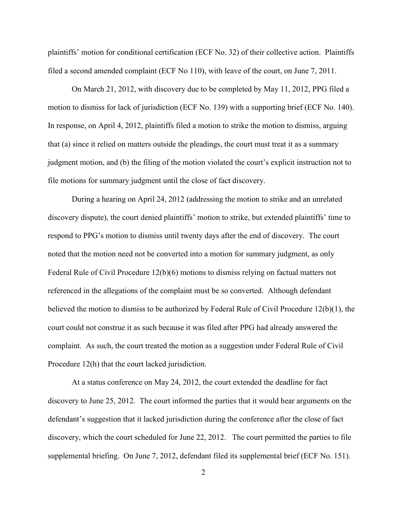plaintiffs' motion for conditional certification (ECF No. 32) of their collective action. Plaintiffs filed a second amended complaint (ECF No 110), with leave of the court, on June 7, 2011.

On March 21, 2012, with discovery due to be completed by May 11, 2012, PPG filed a motion to dismiss for lack of jurisdiction (ECF No. 139) with a supporting brief (ECF No. 140). In response, on April 4, 2012, plaintiffs filed a motion to strike the motion to dismiss, arguing that (a) since it relied on matters outside the pleadings, the court must treat it as a summary judgment motion, and (b) the filing of the motion violated the court's explicit instruction not to file motions for summary judgment until the close of fact discovery.

During a hearing on April 24, 2012 (addressing the motion to strike and an unrelated discovery dispute), the court denied plaintiffs' motion to strike, but extended plaintiffs' time to respond to PPG's motion to dismiss until twenty days after the end of discovery. The court noted that the motion need not be converted into a motion for summary judgment, as only Federal Rule of Civil Procedure 12(b)(6) motions to dismiss relying on factual matters not referenced in the allegations of the complaint must be so converted. Although defendant believed the motion to dismiss to be authorized by Federal Rule of Civil Procedure 12(b)(1), the court could not construe it as such because it was filed after PPG had already answered the complaint. As such, the court treated the motion as a suggestion under Federal Rule of Civil Procedure 12(h) that the court lacked jurisdiction.

At a status conference on May 24, 2012, the court extended the deadline for fact discovery to June 25, 2012. The court informed the parties that it would hear arguments on the defendant's suggestion that it lacked jurisdiction during the conference after the close of fact discovery, which the court scheduled for June 22, 2012. The court permitted the parties to file supplemental briefing. On June 7, 2012, defendant filed its supplemental brief (ECF No. 151).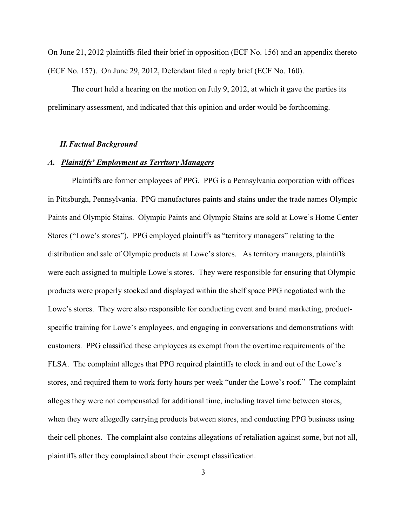On June 21, 2012 plaintiffs filed their brief in opposition (ECF No. 156) and an appendix thereto (ECF No. 157). On June 29, 2012, Defendant filed a reply brief (ECF No. 160).

The court held a hearing on the motion on July 9, 2012, at which it gave the parties its preliminary assessment, and indicated that this opinion and order would be forthcoming.

### *II.Factual Background*

#### *A. Plaintiffs' Employment as Territory Managers*

Plaintiffs are former employees of PPG. PPG is a Pennsylvania corporation with offices in Pittsburgh, Pennsylvania. PPG manufactures paints and stains under the trade names Olympic Paints and Olympic Stains. Olympic Paints and Olympic Stains are sold at Lowe's Home Center Stores ("Lowe's stores"). PPG employed plaintiffs as "territory managers" relating to the distribution and sale of Olympic products at Lowe's stores. As territory managers, plaintiffs were each assigned to multiple Lowe's stores. They were responsible for ensuring that Olympic products were properly stocked and displayed within the shelf space PPG negotiated with the Lowe's stores. They were also responsible for conducting event and brand marketing, productspecific training for Lowe's employees, and engaging in conversations and demonstrations with customers. PPG classified these employees as exempt from the overtime requirements of the FLSA. The complaint alleges that PPG required plaintiffs to clock in and out of the Lowe's stores, and required them to work forty hours per week "under the Lowe's roof." The complaint alleges they were not compensated for additional time, including travel time between stores, when they were allegedly carrying products between stores, and conducting PPG business using their cell phones. The complaint also contains allegations of retaliation against some, but not all, plaintiffs after they complained about their exempt classification.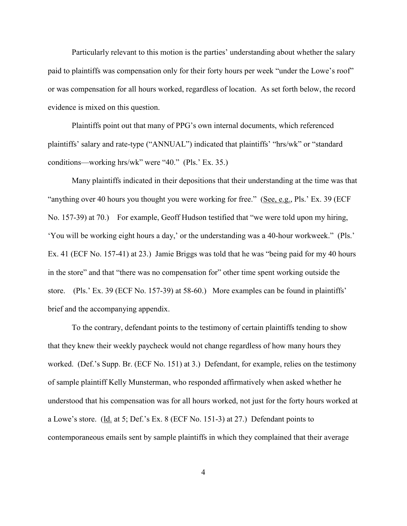Particularly relevant to this motion is the parties' understanding about whether the salary paid to plaintiffs was compensation only for their forty hours per week "under the Lowe's roof" or was compensation for all hours worked, regardless of location. As set forth below, the record evidence is mixed on this question.

Plaintiffs point out that many of PPG's own internal documents, which referenced plaintiffs' salary and rate-type ("ANNUAL") indicated that plaintiffs' "hrs/wk" or "standard conditions—working hrs/wk" were "40." (Pls.' Ex. 35.)

Many plaintiffs indicated in their depositions that their understanding at the time was that "anything over 40 hours you thought you were working for free." (See, e.g., Pls.' Ex. 39 (ECF No. 157-39) at 70.) For example, Geoff Hudson testified that "we were told upon my hiring, 'You will be working eight hours a day,' or the understanding was a 40-hour workweek." (Pls.' Ex. 41 (ECF No. 157-41) at 23.) Jamie Briggs was told that he was "being paid for my 40 hours in the store" and that "there was no compensation for" other time spent working outside the store. (Pls.' Ex. 39 (ECF No. 157-39) at 58-60.) More examples can be found in plaintiffs' brief and the accompanying appendix.

To the contrary, defendant points to the testimony of certain plaintiffs tending to show that they knew their weekly paycheck would not change regardless of how many hours they worked. (Def.'s Supp. Br. (ECF No. 151) at 3.) Defendant, for example, relies on the testimony of sample plaintiff Kelly Munsterman, who responded affirmatively when asked whether he understood that his compensation was for all hours worked, not just for the forty hours worked at a Lowe's store. (Id. at 5; Def.'s Ex. 8 (ECF No. 151-3) at 27.) Defendant points to contemporaneous emails sent by sample plaintiffs in which they complained that their average

4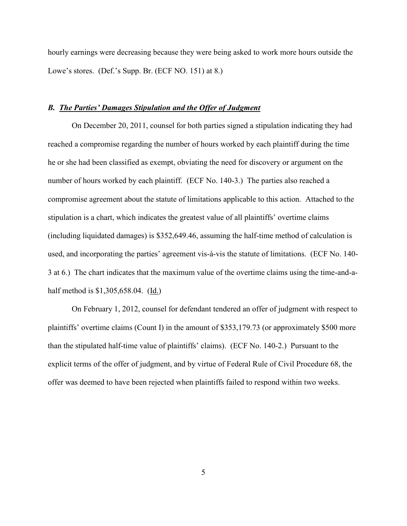hourly earnings were decreasing because they were being asked to work more hours outside the Lowe's stores. (Def.'s Supp. Br. (ECF NO. 151) at 8.)

### *B. The Parties' Damages Stipulation and the Offer of Judgment*

On December 20, 2011, counsel for both parties signed a stipulation indicating they had reached a compromise regarding the number of hours worked by each plaintiff during the time he or she had been classified as exempt, obviating the need for discovery or argument on the number of hours worked by each plaintiff. (ECF No. 140-3.) The parties also reached a compromise agreement about the statute of limitations applicable to this action. Attached to the stipulation is a chart, which indicates the greatest value of all plaintiffs' overtime claims (including liquidated damages) is \$352,649.46, assuming the half-time method of calculation is used, and incorporating the parties' agreement vis-à-vis the statute of limitations. (ECF No. 140- 3 at 6.) The chart indicates that the maximum value of the overtime claims using the time-and-ahalf method is \$1,305,658.04. (Id.)

On February 1, 2012, counsel for defendant tendered an offer of judgment with respect to plaintiffs' overtime claims (Count I) in the amount of \$353,179.73 (or approximately \$500 more than the stipulated half-time value of plaintiffs' claims). (ECF No. 140-2.) Pursuant to the explicit terms of the offer of judgment, and by virtue of Federal Rule of Civil Procedure 68, the offer was deemed to have been rejected when plaintiffs failed to respond within two weeks.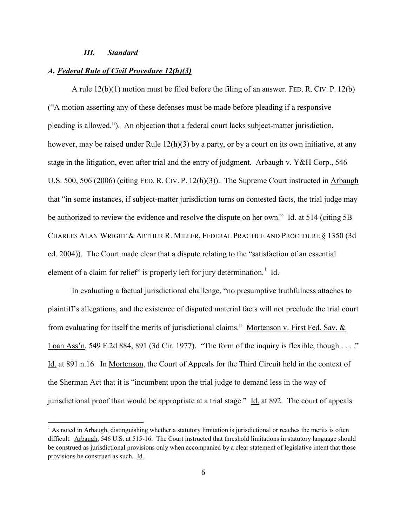### *III. Standard*

 $\overline{\phantom{a}}$ 

### *A. Federal Rule of Civil Procedure 12(h)(3)*

A rule 12(b)(1) motion must be filed before the filing of an answer. FED. R. CIV. P. 12(b) ("A motion asserting any of these defenses must be made before pleading if a responsive pleading is allowed."). An objection that a federal court lacks subject-matter jurisdiction, however, may be raised under Rule 12(h)(3) by a party, or by a court on its own initiative, at any stage in the litigation, even after trial and the entry of judgment. Arbaugh v. Y&H Corp., 546 U.S. 500, 506 (2006) (citing FED. R. CIV. P. 12(h)(3)). The Supreme Court instructed in Arbaugh that "in some instances, if subject-matter jurisdiction turns on contested facts, the trial judge may be authorized to review the evidence and resolve the dispute on her own." Id. at 514 (citing 5B CHARLES ALAN WRIGHT & ARTHUR R. MILLER, FEDERAL PRACTICE AND PROCEDURE § 1350 (3d ed. 2004)). The Court made clear that a dispute relating to the "satisfaction of an essential element of a claim for relief" is properly left for jury determination.<sup>1</sup> Id.

In evaluating a factual jurisdictional challenge, "no presumptive truthfulness attaches to plaintiff's allegations, and the existence of disputed material facts will not preclude the trial court from evaluating for itself the merits of jurisdictional claims." Mortenson v. First Fed. Sav. & Loan Ass'n, 549 F.2d 884, 891 (3d Cir. 1977). "The form of the inquiry is flexible, though . . . ." Id. at 891 n.16. In Mortenson, the Court of Appeals for the Third Circuit held in the context of the Sherman Act that it is "incumbent upon the trial judge to demand less in the way of jurisdictional proof than would be appropriate at a trial stage." Id. at 892. The court of appeals

 $<sup>1</sup>$  As noted in Arbaugh, distinguishing whether a statutory limitation is jurisdictional or reaches the merits is often</sup> difficult. Arbaugh, 546 U.S. at 515-16. The Court instructed that threshold limitations in statutory language should be construed as jurisdictional provisions only when accompanied by a clear statement of legislative intent that those provisions be construed as such. Id.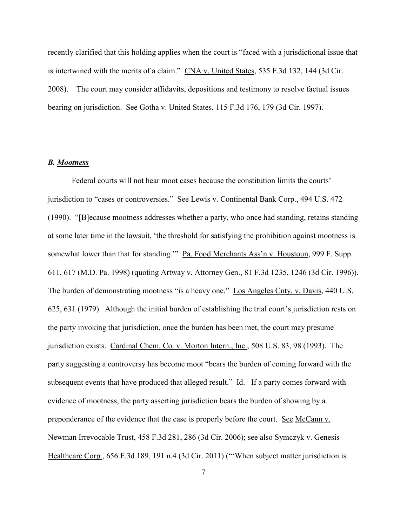recently clarified that this holding applies when the court is "faced with a jurisdictional issue that is intertwined with the merits of a claim." CNA v. United States, 535 F.3d 132, 144 (3d Cir. 2008). The court may consider affidavits, depositions and testimony to resolve factual issues bearing on jurisdiction. See Gotha v. United States, 115 F.3d 176, 179 (3d Cir. 1997).

## *B. Mootness*

Federal courts will not hear moot cases because the constitution limits the courts' jurisdiction to "cases or controversies." See Lewis v. Continental Bank Corp., 494 U.S. 472 (1990). "[B]ecause mootness addresses whether a party, who once had standing, retains standing at some later time in the lawsuit, 'the threshold for satisfying the prohibition against mootness is somewhat lower than that for standing.'" Pa. Food Merchants Ass'n v. Houstoun, 999 F. Supp. 611, 617 (M.D. Pa. 1998) (quoting Artway v. Attorney Gen., 81 F.3d 1235, 1246 (3d Cir. 1996)). The burden of demonstrating mootness "is a heavy one." Los Angeles Cnty. v. Davis, 440 U.S. 625, 631 (1979). Although the initial burden of establishing the trial court's jurisdiction rests on the party invoking that jurisdiction, once the burden has been met, the court may presume jurisdiction exists. Cardinal Chem. Co. v. Morton Intern., Inc., 508 U.S. 83, 98 (1993). The party suggesting a controversy has become moot "bears the burden of coming forward with the subsequent events that have produced that alleged result." Id. If a party comes forward with evidence of mootness, the party asserting jurisdiction bears the burden of showing by a preponderance of the evidence that the case is properly before the court. See McCann v. Newman Irrevocable Trust, 458 F.3d 281, 286 (3d Cir. 2006); see also Symczyk v. Genesis Healthcare Corp., 656 F.3d 189, 191 n.4 (3d Cir. 2011) ("When subject matter jurisdiction is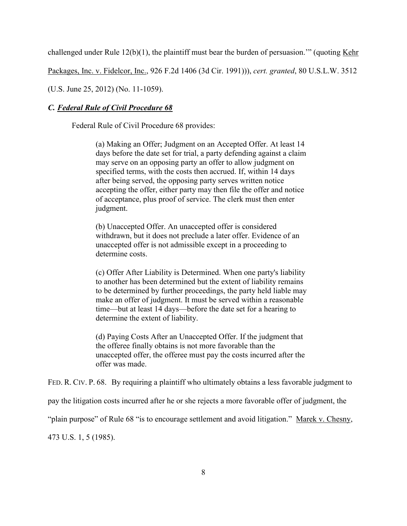challenged under Rule 12(b)(1), the plaintiff must bear the burden of persuasion.'" (quoting Kehr

Packages, Inc. v. Fidelcor, Inc., 926 F.2d 1406 (3d Cir. 1991))), *cert. granted*, 80 U.S.L.W. 3512

(U.S. June 25, 2012) (No. 11-1059).

## *C. Federal Rule of Civil Procedure 68*

Federal Rule of Civil Procedure 68 provides:

(a) Making an Offer; Judgment on an Accepted Offer. At least 14 days before the date set for trial, a party defending against a claim may serve on an opposing party an offer to allow judgment on specified terms, with the costs then accrued. If, within 14 days after being served, the opposing party serves written notice accepting the offer, either party may then file the offer and notice of acceptance, plus proof of service. The clerk must then enter judgment.

(b) Unaccepted Offer. An unaccepted offer is considered withdrawn, but it does not preclude a later offer. Evidence of an unaccepted offer is not admissible except in a proceeding to determine costs.

(c) Offer After Liability is Determined. When one party's liability to another has been determined but the extent of liability remains to be determined by further proceedings, the party held liable may make an offer of judgment. It must be served within a reasonable time—but at least 14 days—before the date set for a hearing to determine the extent of liability.

(d) Paying Costs After an Unaccepted Offer. If the judgment that the offeree finally obtains is not more favorable than the unaccepted offer, the offeree must pay the costs incurred after the offer was made.

FED. R. CIV. P. 68. By requiring a plaintiff who ultimately obtains a less favorable judgment to

pay the litigation costs incurred after he or she rejects a more favorable offer of judgment, the

"plain purpose" of Rule 68 "is to encourage settlement and avoid litigation." Marek v. Chesny,

473 U.S. 1, 5 (1985).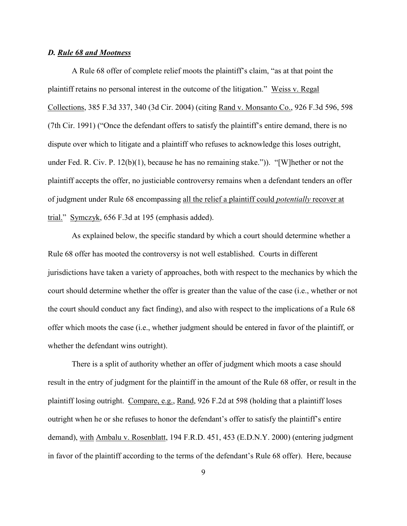### *D. Rule 68 and Mootness*

A Rule 68 offer of complete relief moots the plaintiff's claim, "as at that point the plaintiff retains no personal interest in the outcome of the litigation." Weiss v. Regal Collections, 385 F.3d 337, 340 (3d Cir. 2004) (citing Rand v. Monsanto Co., 926 F.3d 596, 598 (7th Cir. 1991) ("Once the defendant offers to satisfy the plaintiff's entire demand, there is no dispute over which to litigate and a plaintiff who refuses to acknowledge this loses outright, under Fed. R. Civ. P. 12(b)(1), because he has no remaining stake.")). "[W]hether or not the plaintiff accepts the offer, no justiciable controversy remains when a defendant tenders an offer of judgment under Rule 68 encompassing all the relief a plaintiff could *potentially* recover at trial." Symczyk, 656 F.3d at 195 (emphasis added).

As explained below, the specific standard by which a court should determine whether a Rule 68 offer has mooted the controversy is not well established. Courts in different jurisdictions have taken a variety of approaches, both with respect to the mechanics by which the court should determine whether the offer is greater than the value of the case (i.e., whether or not the court should conduct any fact finding), and also with respect to the implications of a Rule 68 offer which moots the case (i.e., whether judgment should be entered in favor of the plaintiff, or whether the defendant wins outright).

There is a split of authority whether an offer of judgment which moots a case should result in the entry of judgment for the plaintiff in the amount of the Rule 68 offer, or result in the plaintiff losing outright. Compare, e.g., Rand, 926 F.2d at 598 (holding that a plaintiff loses outright when he or she refuses to honor the defendant's offer to satisfy the plaintiff's entire demand), with Ambalu v. Rosenblatt, 194 F.R.D. 451, 453 (E.D.N.Y. 2000) (entering judgment in favor of the plaintiff according to the terms of the defendant's Rule 68 offer). Here, because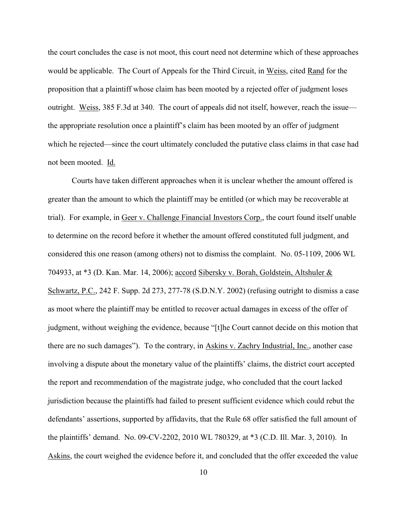the court concludes the case is not moot, this court need not determine which of these approaches would be applicable. The Court of Appeals for the Third Circuit, in Weiss, cited Rand for the proposition that a plaintiff whose claim has been mooted by a rejected offer of judgment loses outright. Weiss, 385 F.3d at 340. The court of appeals did not itself, however, reach the issue the appropriate resolution once a plaintiff's claim has been mooted by an offer of judgment which he rejected—since the court ultimately concluded the putative class claims in that case had not been mooted. Id.

Courts have taken different approaches when it is unclear whether the amount offered is greater than the amount to which the plaintiff may be entitled (or which may be recoverable at trial). For example, in Geer v. Challenge Financial Investors Corp., the court found itself unable to determine on the record before it whether the amount offered constituted full judgment, and considered this one reason (among others) not to dismiss the complaint. No. 05-1109, 2006 WL 704933, at \*3 (D. Kan. Mar. 14, 2006); accord Sibersky v. Borah, Goldstein, Altshuler & Schwartz, P.C., 242 F. Supp. 2d 273, 277-78 (S.D.N.Y. 2002) (refusing outright to dismiss a case as moot where the plaintiff may be entitled to recover actual damages in excess of the offer of judgment, without weighing the evidence, because "[t]he Court cannot decide on this motion that there are no such damages"). To the contrary, in Askins v. Zachry Industrial, Inc., another case involving a dispute about the monetary value of the plaintiffs' claims, the district court accepted the report and recommendation of the magistrate judge, who concluded that the court lacked jurisdiction because the plaintiffs had failed to present sufficient evidence which could rebut the defendants' assertions, supported by affidavits, that the Rule 68 offer satisfied the full amount of the plaintiffs' demand. No. 09-CV-2202, 2010 WL 780329, at \*3 (C.D. Ill. Mar. 3, 2010). In Askins, the court weighed the evidence before it, and concluded that the offer exceeded the value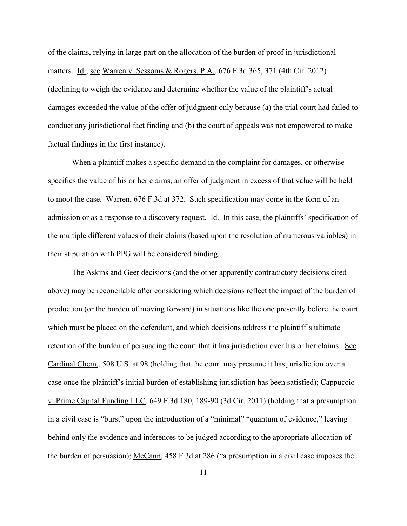of the claims, relying in large part on the allocation of the burden of proof in jurisdictional matters. Id.; see Warren v. Sessoms & Rogers, P.A., 676 F.3d 365, 371 (4th Cir. 2012) (declining to weigh the evidence and determine whether the value of the plaintiff's actual damages exceeded the value of the offer of judgment only because (a) the trial court had failed to conduct any jurisdictional fact finding and (b) the court of appeals was not empowered to make factual findings in the first instance).

When a plaintiff makes a specific demand in the complaint for damages, or otherwise specifies the value of his or her claims, an offer of judgment in excess of that value will be held to moot the case. Warren, 676 F.3d at 372. Such specification may come in the form of an admission or as a response to a discovery request. Id. In this case, the plaintiffs' specification of the multiple different values of their claims (based upon the resolution of numerous variables) in their stipulation with PPG will be considered binding.

The Askins and Geer decisions (and the other apparently contradictory decisions cited above) may be reconcilable after considering which decisions reflect the impact of the burden of production (or the burden of moving forward) in situations like the one presently before the court which must be placed on the defendant, and which decisions address the plaintiff's ultimate retention of the burden of persuading the court that it has jurisdiction over his or her claims. See Cardinal Chem., 508 U.S. at 98 (holding that the court may presume it has jurisdiction over a case once the plaintiff's initial burden of establishing jurisdiction has been satisfied); Cappuccio v. Prime Capital Funding LLC, 649 F.3d 180, 189-90 (3d Cir. 2011) (holding that a presumption in a civil case is "burst" upon the introduction of a "minimal" "quantum of evidence," leaving behind only the evidence and inferences to be judged according to the appropriate allocation of the burden of persuasion); McCann, 458 F.3d at 286 ("a presumption in a civil case imposes the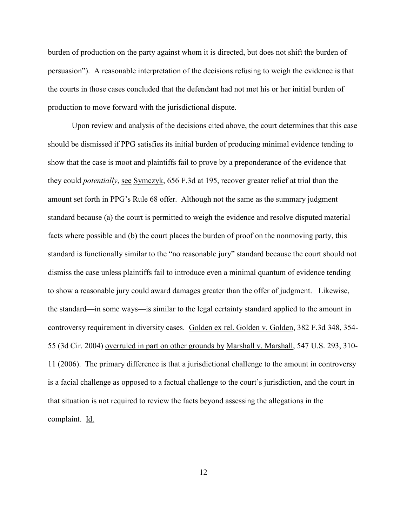burden of production on the party against whom it is directed, but does not shift the burden of persuasion"). A reasonable interpretation of the decisions refusing to weigh the evidence is that the courts in those cases concluded that the defendant had not met his or her initial burden of production to move forward with the jurisdictional dispute.

Upon review and analysis of the decisions cited above, the court determines that this case should be dismissed if PPG satisfies its initial burden of producing minimal evidence tending to show that the case is moot and plaintiffs fail to prove by a preponderance of the evidence that they could *potentially*, see Symczyk, 656 F.3d at 195, recover greater relief at trial than the amount set forth in PPG's Rule 68 offer. Although not the same as the summary judgment standard because (a) the court is permitted to weigh the evidence and resolve disputed material facts where possible and (b) the court places the burden of proof on the nonmoving party, this standard is functionally similar to the "no reasonable jury" standard because the court should not dismiss the case unless plaintiffs fail to introduce even a minimal quantum of evidence tending to show a reasonable jury could award damages greater than the offer of judgment. Likewise, the standard—in some ways—is similar to the legal certainty standard applied to the amount in controversy requirement in diversity cases. Golden ex rel. Golden v. Golden, 382 F.3d 348, 354- 55 (3d Cir. 2004) overruled in part on other grounds by Marshall v. Marshall, 547 U.S. 293, 310- 11 (2006). The primary difference is that a jurisdictional challenge to the amount in controversy is a facial challenge as opposed to a factual challenge to the court's jurisdiction, and the court in that situation is not required to review the facts beyond assessing the allegations in the complaint. Id.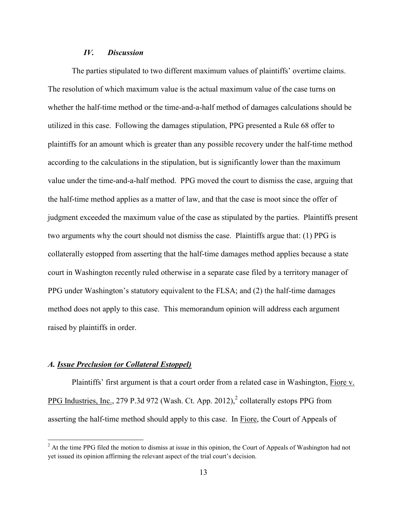## *IV. Discussion*

The parties stipulated to two different maximum values of plaintiffs' overtime claims. The resolution of which maximum value is the actual maximum value of the case turns on whether the half-time method or the time-and-a-half method of damages calculations should be utilized in this case. Following the damages stipulation, PPG presented a Rule 68 offer to plaintiffs for an amount which is greater than any possible recovery under the half-time method according to the calculations in the stipulation, but is significantly lower than the maximum value under the time-and-a-half method. PPG moved the court to dismiss the case, arguing that the half-time method applies as a matter of law, and that the case is moot since the offer of judgment exceeded the maximum value of the case as stipulated by the parties. Plaintiffs present two arguments why the court should not dismiss the case. Plaintiffs argue that: (1) PPG is collaterally estopped from asserting that the half-time damages method applies because a state court in Washington recently ruled otherwise in a separate case filed by a territory manager of PPG under Washington's statutory equivalent to the FLSA; and (2) the half-time damages method does not apply to this case. This memorandum opinion will address each argument raised by plaintiffs in order.

### *A. Issue Preclusion (or Collateral Estoppel)*

 $\overline{a}$ 

Plaintiffs' first argument is that a court order from a related case in Washington, Fiore v. PPG Industries, Inc., 279 P.3d 972 (Wash. Ct. App. 2012), $^2$  collaterally estops PPG from asserting the half-time method should apply to this case. In Fiore, the Court of Appeals of

<sup>&</sup>lt;sup>2</sup> At the time PPG filed the motion to dismiss at issue in this opinion, the Court of Appeals of Washington had not yet issued its opinion affirming the relevant aspect of the trial court's decision.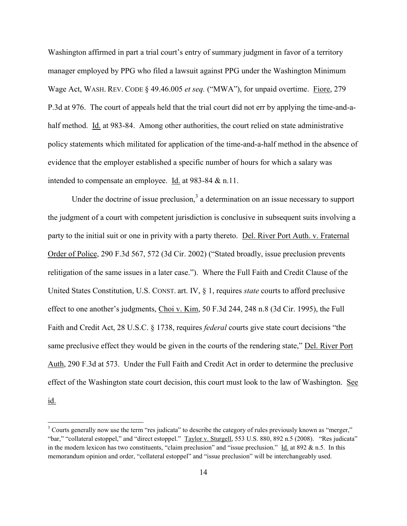Washington affirmed in part a trial court's entry of summary judgment in favor of a territory manager employed by PPG who filed a lawsuit against PPG under the Washington Minimum Wage Act, WASH. REV. CODE § 49.46.005 *et seq.* ("MWA"), for unpaid overtime. Fiore, 279 P.3d at 976. The court of appeals held that the trial court did not err by applying the time-and-ahalf method. Id. at 983-84. Among other authorities, the court relied on state administrative policy statements which militated for application of the time-and-a-half method in the absence of evidence that the employer established a specific number of hours for which a salary was intended to compensate an employee. Id. at 983-84 & n.11.

Under the doctrine of issue preclusion,<sup>3</sup> a determination on an issue necessary to support the judgment of a court with competent jurisdiction is conclusive in subsequent suits involving a party to the initial suit or one in privity with a party thereto. Del. River Port Auth. v. Fraternal Order of Police, 290 F.3d 567, 572 (3d Cir. 2002) ("Stated broadly, issue preclusion prevents relitigation of the same issues in a later case."). Where the Full Faith and Credit Clause of the United States Constitution, U.S. CONST. art. IV, § 1, requires *state* courts to afford preclusive effect to one another's judgments, Choi v. Kim, 50 F.3d 244, 248 n.8 (3d Cir. 1995), the Full Faith and Credit Act, 28 U.S.C. § 1738, requires *federal* courts give state court decisions "the same preclusive effect they would be given in the courts of the rendering state," Del. River Port Auth, 290 F.3d at 573. Under the Full Faith and Credit Act in order to determine the preclusive effect of the Washington state court decision, this court must look to the law of Washington. See id.

 $\overline{\phantom{a}}$ 

 $3$  Courts generally now use the term "res judicata" to describe the category of rules previously known as "merger," "bar," "collateral estoppel," and "direct estoppel." Taylor v. Sturgell, 553 U.S. 880, 892 n.5 (2008). "Res judicata" in the modern lexicon has two constituents, "claim preclusion" and "issue preclusion." Id. at  $892 \& n.5$ . In this memorandum opinion and order, "collateral estoppel" and "issue preclusion" will be interchangeably used.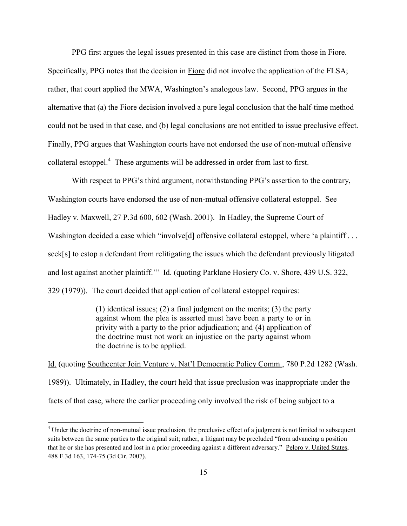PPG first argues the legal issues presented in this case are distinct from those in Fiore. Specifically, PPG notes that the decision in Fiore did not involve the application of the FLSA; rather, that court applied the MWA, Washington's analogous law. Second, PPG argues in the alternative that (a) the Fiore decision involved a pure legal conclusion that the half-time method could not be used in that case, and (b) legal conclusions are not entitled to issue preclusive effect. Finally, PPG argues that Washington courts have not endorsed the use of non-mutual offensive collateral estoppel.<sup>4</sup> These arguments will be addressed in order from last to first.

With respect to PPG's third argument, notwithstanding PPG's assertion to the contrary, Washington courts have endorsed the use of non-mutual offensive collateral estoppel. See Hadley v. Maxwell, 27 P.3d 600, 602 (Wash. 2001). In Hadley, the Supreme Court of Washington decided a case which "involve<sup>[d]</sup> offensive collateral estoppel, where 'a plaintiff . . . seek[s] to estop a defendant from relitigating the issues which the defendant previously litigated and lost against another plaintiff." Id. (quoting Parklane Hosiery Co. v. Shore, 439 U.S. 322, 329 (1979)). The court decided that application of collateral estoppel requires:

> (1) identical issues; (2) a final judgment on the merits; (3) the party against whom the plea is asserted must have been a party to or in privity with a party to the prior adjudication; and (4) application of the doctrine must not work an injustice on the party against whom the doctrine is to be applied.

Id. (quoting Southcenter Join Venture v. Nat'l Democratic Policy Comm., 780 P.2d 1282 (Wash. 1989)). Ultimately, in Hadley, the court held that issue preclusion was inappropriate under the facts of that case, where the earlier proceeding only involved the risk of being subject to a

 $\overline{\phantom{a}}$ 

<sup>&</sup>lt;sup>4</sup> Under the doctrine of non-mutual issue preclusion, the preclusive effect of a judgment is not limited to subsequent suits between the same parties to the original suit; rather, a litigant may be precluded "from advancing a position that he or she has presented and lost in a prior proceeding against a different adversary." Peloro v. United States, 488 F.3d 163, 174-75 (3d Cir. 2007).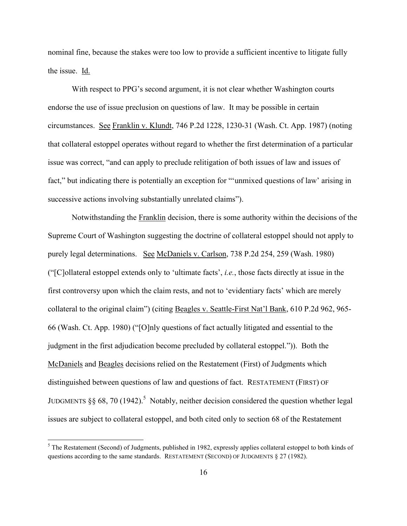nominal fine, because the stakes were too low to provide a sufficient incentive to litigate fully the issue. Id.

With respect to PPG's second argument, it is not clear whether Washington courts endorse the use of issue preclusion on questions of law. It may be possible in certain circumstances. See Franklin v. Klundt, 746 P.2d 1228, 1230-31 (Wash. Ct. App. 1987) (noting that collateral estoppel operates without regard to whether the first determination of a particular issue was correct, "and can apply to preclude relitigation of both issues of law and issues of fact," but indicating there is potentially an exception for "'unmixed questions of law' arising in successive actions involving substantially unrelated claims").

Notwithstanding the Franklin decision, there is some authority within the decisions of the Supreme Court of Washington suggesting the doctrine of collateral estoppel should not apply to purely legal determinations. See McDaniels v. Carlson, 738 P.2d 254, 259 (Wash. 1980) ("[C]ollateral estoppel extends only to 'ultimate facts', *i.e.*, those facts directly at issue in the first controversy upon which the claim rests, and not to 'evidentiary facts' which are merely collateral to the original claim") (citing Beagles v. Seattle-First Nat'l Bank, 610 P.2d 962, 965- 66 (Wash. Ct. App. 1980) ("[O]nly questions of fact actually litigated and essential to the judgment in the first adjudication become precluded by collateral estoppel.")). Both the McDaniels and Beagles decisions relied on the Restatement (First) of Judgments which distinguished between questions of law and questions of fact. RESTATEMENT (FIRST) OF JUDGMENTS  $\S\S 68$ , 70 (1942).<sup>5</sup> Notably, neither decision considered the question whether legal issues are subject to collateral estoppel, and both cited only to section 68 of the Restatement

 $\overline{a}$ 

 $<sup>5</sup>$  The Restatement (Second) of Judgments, published in 1982, expressly applies collateral estoppel to both kinds of</sup> questions according to the same standards. RESTATEMENT (SECOND) OF JUDGMENTS § 27 (1982).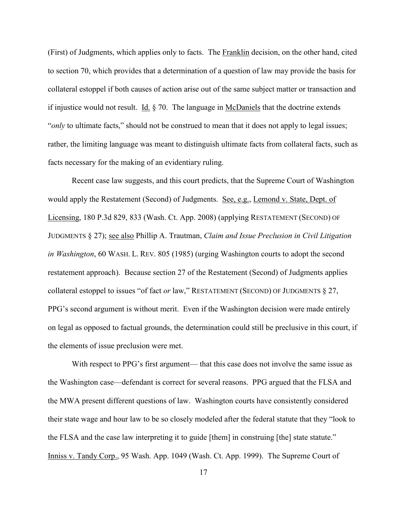(First) of Judgments, which applies only to facts. The Franklin decision, on the other hand, cited to section 70, which provides that a determination of a question of law may provide the basis for collateral estoppel if both causes of action arise out of the same subject matter or transaction and if injustice would not result. Id. § 70. The language in McDaniels that the doctrine extends "*only* to ultimate facts," should not be construed to mean that it does not apply to legal issues; rather, the limiting language was meant to distinguish ultimate facts from collateral facts, such as facts necessary for the making of an evidentiary ruling.

Recent case law suggests, and this court predicts, that the Supreme Court of Washington would apply the Restatement (Second) of Judgments. See, e.g., Lemond v. State, Dept. of Licensing, 180 P.3d 829, 833 (Wash. Ct. App. 2008) (applying RESTATEMENT (SECOND) OF JUDGMENTS § 27); see also Phillip A. Trautman, *Claim and Issue Preclusion in Civil Litigation in Washington*, 60 WASH. L. REV. 805 (1985) (urging Washington courts to adopt the second restatement approach). Because section 27 of the Restatement (Second) of Judgments applies collateral estoppel to issues "of fact *or* law," RESTATEMENT (SECOND) OF JUDGMENTS § 27, PPG's second argument is without merit. Even if the Washington decision were made entirely on legal as opposed to factual grounds, the determination could still be preclusive in this court, if the elements of issue preclusion were met.

With respect to PPG's first argument— that this case does not involve the same issue as the Washington case—defendant is correct for several reasons. PPG argued that the FLSA and the MWA present different questions of law. Washington courts have consistently considered their state wage and hour law to be so closely modeled after the federal statute that they "look to the FLSA and the case law interpreting it to guide [them] in construing [the] state statute." Inniss v. Tandy Corp., 95 Wash. App. 1049 (Wash. Ct. App. 1999). The Supreme Court of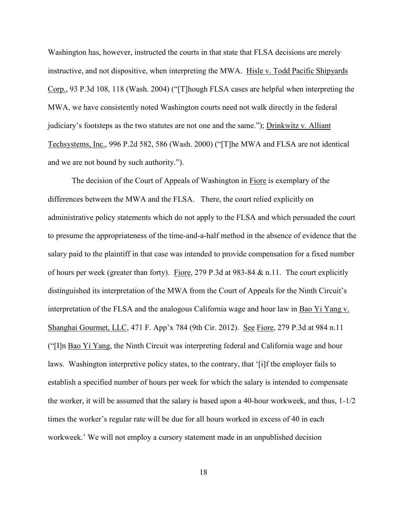Washington has, however, instructed the courts in that state that FLSA decisions are merely instructive, and not dispositive, when interpreting the MWA. Hisle v. Todd Pacific Shipyards Corp., 93 P.3d 108, 118 (Wash. 2004) ("[T]hough FLSA cases are helpful when interpreting the MWA, we have consistently noted Washington courts need not walk directly in the federal judiciary's footsteps as the two statutes are not one and the same."); Drinkwitz v. Alliant Techsystems, Inc., 996 P.2d 582, 586 (Wash. 2000) ("[T]he MWA and FLSA are not identical and we are not bound by such authority.").

The decision of the Court of Appeals of Washington in Fiore is exemplary of the differences between the MWA and the FLSA. There, the court relied explicitly on administrative policy statements which do not apply to the FLSA and which persuaded the court to presume the appropriateness of the time-and-a-half method in the absence of evidence that the salary paid to the plaintiff in that case was intended to provide compensation for a fixed number of hours per week (greater than forty). Fiore, 279 P.3d at 983-84  $&$  n.11. The court explicitly distinguished its interpretation of the MWA from the Court of Appeals for the Ninth Circuit's interpretation of the FLSA and the analogous California wage and hour law in Bao Yi Yang v. Shanghai Gourmet, LLC, 471 F. App'x 784 (9th Cir. 2012). See Fiore, 279 P.3d at 984 n.11 ("[I]n Bao Yi Yang, the Ninth Circuit was interpreting federal and California wage and hour laws. Washington interpretive policy states, to the contrary, that '[i]f the employer fails to establish a specified number of hours per week for which the salary is intended to compensate the worker, it will be assumed that the salary is based upon a 40-hour workweek, and thus, 1-1/2 times the worker's regular rate will be due for all hours worked in excess of 40 in each workweek.' We will not employ a cursory statement made in an unpublished decision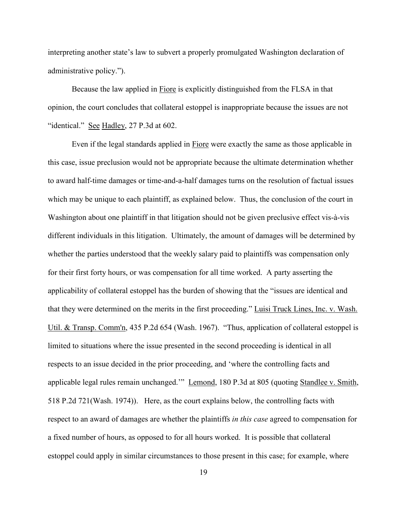interpreting another state's law to subvert a properly promulgated Washington declaration of administrative policy.").

Because the law applied in Fiore is explicitly distinguished from the FLSA in that opinion, the court concludes that collateral estoppel is inappropriate because the issues are not "identical." See Hadley, 27 P.3d at 602.

Even if the legal standards applied in Fiore were exactly the same as those applicable in this case, issue preclusion would not be appropriate because the ultimate determination whether to award half-time damages or time-and-a-half damages turns on the resolution of factual issues which may be unique to each plaintiff, as explained below. Thus, the conclusion of the court in Washington about one plaintiff in that litigation should not be given preclusive effect vis-à-vis different individuals in this litigation. Ultimately, the amount of damages will be determined by whether the parties understood that the weekly salary paid to plaintiffs was compensation only for their first forty hours, or was compensation for all time worked. A party asserting the applicability of collateral estoppel has the burden of showing that the "issues are identical and that they were determined on the merits in the first proceeding." Luisi Truck Lines, Inc. v. Wash. Util. & Transp. Comm'n, 435 P.2d 654 (Wash. 1967). "Thus, application of collateral estoppel is limited to situations where the issue presented in the second proceeding is identical in all respects to an issue decided in the prior proceeding, and 'where the controlling facts and applicable legal rules remain unchanged.'" Lemond, 180 P.3d at 805 (quoting Standlee v. Smith, 518 P.2d 721(Wash. 1974)). Here, as the court explains below, the controlling facts with respect to an award of damages are whether the plaintiffs *in this case* agreed to compensation for a fixed number of hours, as opposed to for all hours worked. It is possible that collateral estoppel could apply in similar circumstances to those present in this case; for example, where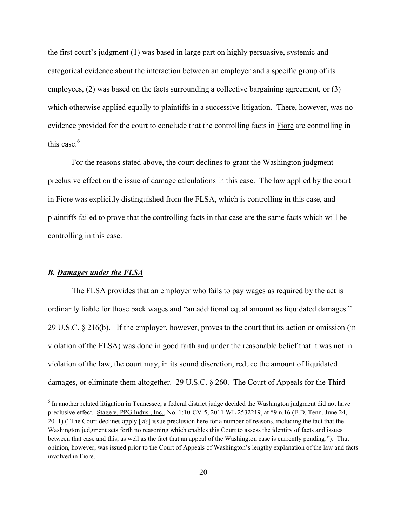the first court's judgment (1) was based in large part on highly persuasive, systemic and categorical evidence about the interaction between an employer and a specific group of its employees, (2) was based on the facts surrounding a collective bargaining agreement, or (3) which otherwise applied equally to plaintiffs in a successive litigation. There, however, was no evidence provided for the court to conclude that the controlling facts in Fiore are controlling in this case  $6$ 

For the reasons stated above, the court declines to grant the Washington judgment preclusive effect on the issue of damage calculations in this case. The law applied by the court in Fiore was explicitly distinguished from the FLSA, which is controlling in this case, and plaintiffs failed to prove that the controlling facts in that case are the same facts which will be controlling in this case.

### *B. Damages under the FLSA*

 $\overline{\phantom{a}}$ 

The FLSA provides that an employer who fails to pay wages as required by the act is ordinarily liable for those back wages and "an additional equal amount as liquidated damages." 29 U.S.C. § 216(b). If the employer, however, proves to the court that its action or omission (in violation of the FLSA) was done in good faith and under the reasonable belief that it was not in violation of the law, the court may, in its sound discretion, reduce the amount of liquidated damages, or eliminate them altogether. 29 U.S.C. § 260. The Court of Appeals for the Third

<sup>&</sup>lt;sup>6</sup> In another related litigation in Tennessee, a federal district judge decided the Washington judgment did not have preclusive effect. Stage v. PPG Indus., Inc., No. 1:10-CV-5, 2011 WL 2532219, at \*9 n.16 (E.D. Tenn. June 24, 2011) ("The Court declines apply [*sic*] issue preclusion here for a number of reasons, including the fact that the Washington judgment sets forth no reasoning which enables this Court to assess the identity of facts and issues between that case and this, as well as the fact that an appeal of the Washington case is currently pending."). That opinion, however, was issued prior to the Court of Appeals of Washington's lengthy explanation of the law and facts involved in Fiore.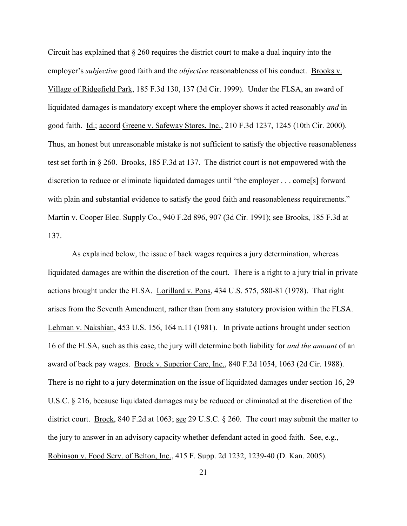Circuit has explained that § 260 requires the district court to make a dual inquiry into the employer's *subjective* good faith and the *objective* reasonableness of his conduct. Brooks v. Village of Ridgefield Park, 185 F.3d 130, 137 (3d Cir. 1999). Under the FLSA, an award of liquidated damages is mandatory except where the employer shows it acted reasonably *and* in good faith. Id.; accord Greene v. Safeway Stores, Inc., 210 F.3d 1237, 1245 (10th Cir. 2000). Thus, an honest but unreasonable mistake is not sufficient to satisfy the objective reasonableness test set forth in § 260. Brooks, 185 F.3d at 137. The district court is not empowered with the discretion to reduce or eliminate liquidated damages until "the employer . . . come[s] forward with plain and substantial evidence to satisfy the good faith and reasonableness requirements." Martin v. Cooper Elec. Supply Co., 940 F.2d 896, 907 (3d Cir. 1991); see Brooks, 185 F.3d at 137.

As explained below, the issue of back wages requires a jury determination, whereas liquidated damages are within the discretion of the court. There is a right to a jury trial in private actions brought under the FLSA. Lorillard v. Pons, 434 U.S. 575, 580-81 (1978). That right arises from the Seventh Amendment, rather than from any statutory provision within the FLSA. Lehman v. Nakshian, 453 U.S. 156, 164 n.11 (1981). In private actions brought under section 16 of the FLSA, such as this case, the jury will determine both liability for *and the amount* of an award of back pay wages. Brock v. Superior Care, Inc., 840 F.2d 1054, 1063 (2d Cir. 1988). There is no right to a jury determination on the issue of liquidated damages under section 16, 29 U.S.C. § 216, because liquidated damages may be reduced or eliminated at the discretion of the district court. Brock, 840 F.2d at 1063; see 29 U.S.C. § 260. The court may submit the matter to the jury to answer in an advisory capacity whether defendant acted in good faith. See, e.g., Robinson v. Food Serv. of Belton, Inc., 415 F. Supp. 2d 1232, 1239-40 (D. Kan. 2005).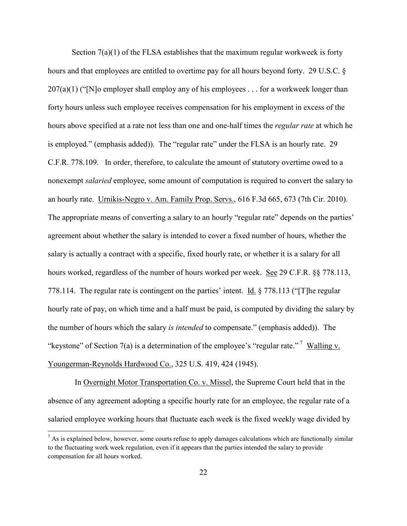Section  $7(a)(1)$  of the FLSA establishes that the maximum regular workweek is forty hours and that employees are entitled to overtime pay for all hours beyond forty. 29 U.S.C. §  $207(a)(1)$  ("[N]o employer shall employ any of his employees . . . for a workweek longer than forty hours unless such employee receives compensation for his employment in excess of the hours above specified at a rate not less than one and one-half times the *regular rate* at which he is employed." (emphasis added)). The "regular rate" under the FLSA is an hourly rate. 29 C.F.R. 778.109. In order, therefore, to calculate the amount of statutory overtime owed to a nonexempt *salaried* employee, some amount of computation is required to convert the salary to an hourly rate. Urnikis-Negro v. Am. Family Prop. Servs., 616 F.3d 665, 673 (7th Cir. 2010). The appropriate means of converting a salary to an hourly "regular rate" depends on the parties' agreement about whether the salary is intended to cover a fixed number of hours, whether the salary is actually a contract with a specific, fixed hourly rate, or whether it is a salary for all hours worked, regardless of the number of hours worked per week. See 29 C.F.R. §§ 778.113, 778.114. The regular rate is contingent on the parties' intent. Id. § 778.113 ("[T]he regular hourly rate of pay, on which time and a half must be paid, is computed by dividing the salary by the number of hours which the salary *is intended* to compensate." (emphasis added)). The "keystone" of Section 7(a) is a determination of the employee's "regular rate."  $\frac{1}{2}$  Walling v. Youngerman-Reynolds Hardwood Co., 325 U.S. 419, 424 (1945).

In Overnight Motor Transportation Co. v. Missel, the Supreme Court held that in the absence of any agreement adopting a specific hourly rate for an employee, the regular rate of a salaried employee working hours that fluctuate each week is the fixed weekly wage divided by

 $\overline{\phantom{a}}$ 

 $<sup>7</sup>$  As is explained below, however, some courts refuse to apply damages calculations which are functionally similar</sup> to the fluctuating work week regulation, even if it appears that the parties intended the salary to provide compensation for all hours worked.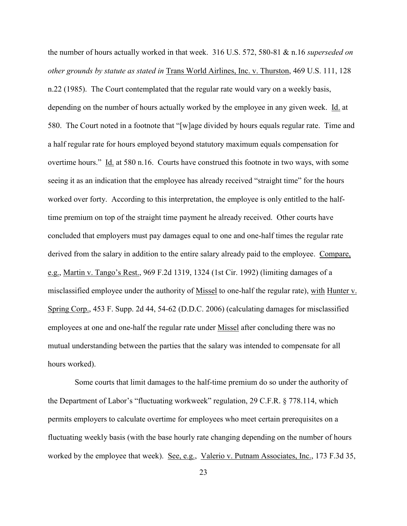the number of hours actually worked in that week. 316 U.S. 572, 580-81 & n.16 *superseded on other grounds by statute as stated in* Trans World Airlines, Inc. v. Thurston, 469 U.S. 111, 128 n.22 (1985). The Court contemplated that the regular rate would vary on a weekly basis, depending on the number of hours actually worked by the employee in any given week. Id. at 580. The Court noted in a footnote that "[w]age divided by hours equals regular rate. Time and a half regular rate for hours employed beyond statutory maximum equals compensation for overtime hours." Id. at 580 n.16. Courts have construed this footnote in two ways, with some seeing it as an indication that the employee has already received "straight time" for the hours worked over forty. According to this interpretation, the employee is only entitled to the halftime premium on top of the straight time payment he already received. Other courts have concluded that employers must pay damages equal to one and one-half times the regular rate derived from the salary in addition to the entire salary already paid to the employee. Compare, e.g., Martin v. Tango's Rest., 969 F.2d 1319, 1324 (1st Cir. 1992) (limiting damages of a misclassified employee under the authority of Missel to one-half the regular rate), with Hunter v. Spring Corp., 453 F. Supp. 2d 44, 54-62 (D.D.C. 2006) (calculating damages for misclassified employees at one and one-half the regular rate under Missel after concluding there was no mutual understanding between the parties that the salary was intended to compensate for all hours worked).

Some courts that limit damages to the half-time premium do so under the authority of the Department of Labor's "fluctuating workweek" regulation, 29 C.F.R. § 778.114, which permits employers to calculate overtime for employees who meet certain prerequisites on a fluctuating weekly basis (with the base hourly rate changing depending on the number of hours worked by the employee that week). See, e.g., Valerio v. Putnam Associates, Inc., 173 F.3d 35,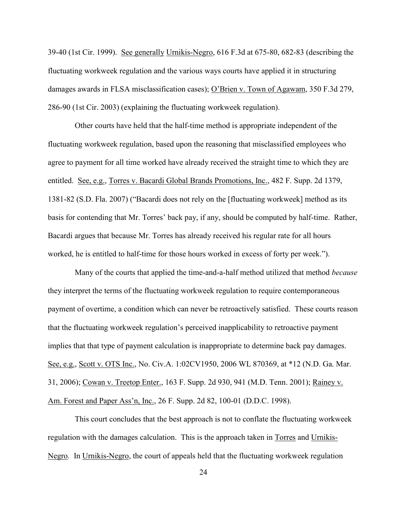39-40 (1st Cir. 1999). See generally Urnikis-Negro, 616 F.3d at 675-80, 682-83 (describing the fluctuating workweek regulation and the various ways courts have applied it in structuring damages awards in FLSA misclassification cases); O'Brien v. Town of Agawam, 350 F.3d 279, 286-90 (1st Cir. 2003) (explaining the fluctuating workweek regulation).

Other courts have held that the half-time method is appropriate independent of the fluctuating workweek regulation, based upon the reasoning that misclassified employees who agree to payment for all time worked have already received the straight time to which they are entitled. See, e.g., Torres v. Bacardi Global Brands Promotions, Inc., 482 F. Supp. 2d 1379, 1381-82 (S.D. Fla. 2007) ("Bacardi does not rely on the [fluctuating workweek] method as its basis for contending that Mr. Torres' back pay, if any, should be computed by half-time. Rather, Bacardi argues that because Mr. Torres has already received his regular rate for all hours worked, he is entitled to half-time for those hours worked in excess of forty per week.").

Many of the courts that applied the time-and-a-half method utilized that method *because* they interpret the terms of the fluctuating workweek regulation to require contemporaneous payment of overtime, a condition which can never be retroactively satisfied. These courts reason that the fluctuating workweek regulation's perceived inapplicability to retroactive payment implies that that type of payment calculation is inappropriate to determine back pay damages. See, e.g., Scott v. OTS Inc., No. Civ.A. 1:02CV1950, 2006 WL 870369, at \*12 (N.D. Ga. Mar. 31, 2006); Cowan v. Treetop Enter., 163 F. Supp. 2d 930, 941 (M.D. Tenn. 2001); Rainey v. Am. Forest and Paper Ass'n, Inc., 26 F. Supp. 2d 82, 100-01 (D.D.C. 1998).

This court concludes that the best approach is not to conflate the fluctuating workweek regulation with the damages calculation. This is the approach taken in Torres and Urnikis-Negro. In Urnikis-Negro, the court of appeals held that the fluctuating workweek regulation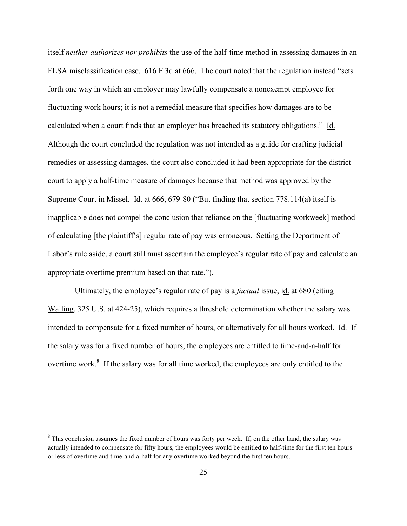itself *neither authorizes nor prohibits* the use of the half-time method in assessing damages in an FLSA misclassification case. 616 F.3d at 666. The court noted that the regulation instead "sets forth one way in which an employer may lawfully compensate a nonexempt employee for fluctuating work hours; it is not a remedial measure that specifies how damages are to be calculated when a court finds that an employer has breached its statutory obligations." Id. Although the court concluded the regulation was not intended as a guide for crafting judicial remedies or assessing damages, the court also concluded it had been appropriate for the district court to apply a half-time measure of damages because that method was approved by the Supreme Court in Missel. Id. at 666, 679-80 ("But finding that section 778.114(a) itself is inapplicable does not compel the conclusion that reliance on the [fluctuating workweek] method of calculating [the plaintiff's] regular rate of pay was erroneous. Setting the Department of Labor's rule aside, a court still must ascertain the employee's regular rate of pay and calculate an appropriate overtime premium based on that rate.").

Ultimately, the employee's regular rate of pay is a *factual* issue, id. at 680 (citing Walling, 325 U.S. at 424-25), which requires a threshold determination whether the salary was intended to compensate for a fixed number of hours, or alternatively for all hours worked. Id. If the salary was for a fixed number of hours, the employees are entitled to time-and-a-half for overtime work.<sup>8</sup> If the salary was for all time worked, the employees are only entitled to the

 $\overline{\phantom{a}}$ 

<sup>&</sup>lt;sup>8</sup> This conclusion assumes the fixed number of hours was forty per week. If, on the other hand, the salary was actually intended to compensate for fifty hours, the employees would be entitled to half-time for the first ten hours or less of overtime and time-and-a-half for any overtime worked beyond the first ten hours.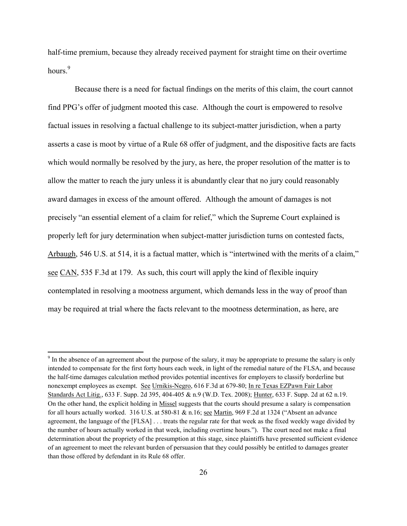half-time premium, because they already received payment for straight time on their overtime hours.<sup>9</sup>

Because there is a need for factual findings on the merits of this claim, the court cannot find PPG's offer of judgment mooted this case. Although the court is empowered to resolve factual issues in resolving a factual challenge to its subject-matter jurisdiction, when a party asserts a case is moot by virtue of a Rule 68 offer of judgment, and the dispositive facts are facts which would normally be resolved by the jury, as here, the proper resolution of the matter is to allow the matter to reach the jury unless it is abundantly clear that no jury could reasonably award damages in excess of the amount offered. Although the amount of damages is not precisely "an essential element of a claim for relief," which the Supreme Court explained is properly left for jury determination when subject-matter jurisdiction turns on contested facts, Arbaugh, 546 U.S. at 514, it is a factual matter, which is "intertwined with the merits of a claim," see CAN, 535 F.3d at 179. As such, this court will apply the kind of flexible inquiry contemplated in resolving a mootness argument, which demands less in the way of proof than may be required at trial where the facts relevant to the mootness determination, as here, are

l

 $9<sup>9</sup>$  In the absence of an agreement about the purpose of the salary, it may be appropriate to presume the salary is only intended to compensate for the first forty hours each week, in light of the remedial nature of the FLSA, and because the half-time damages calculation method provides potential incentives for employers to classify borderline but nonexempt employees as exempt. See Urnikis-Negro, 616 F.3d at 679-80; In re Texas EZPawn Fair Labor Standards Act Litig., 633 F. Supp. 2d 395, 404-405 & n.9 (W.D. Tex. 2008); Hunter, 633 F. Supp. 2d at 62 n.19. On the other hand, the explicit holding in Missel suggests that the courts should presume a salary is compensation for all hours actually worked. 316 U.S. at 580-81 & n.16; see Martin, 969 F.2d at 1324 ("Absent an advance agreement, the language of the [FLSA] . . . treats the regular rate for that week as the fixed weekly wage divided by the number of hours actually worked in that week, including overtime hours."). The court need not make a final determination about the propriety of the presumption at this stage, since plaintiffs have presented sufficient evidence of an agreement to meet the relevant burden of persuasion that they could possibly be entitled to damages greater than those offered by defendant in its Rule 68 offer.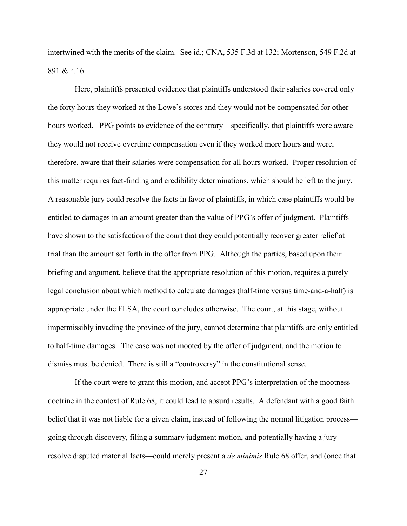intertwined with the merits of the claim. See id.; CNA, 535 F.3d at 132; Mortenson, 549 F.2d at 891 & n.16.

Here, plaintiffs presented evidence that plaintiffs understood their salaries covered only the forty hours they worked at the Lowe's stores and they would not be compensated for other hours worked. PPG points to evidence of the contrary—specifically, that plaintiffs were aware they would not receive overtime compensation even if they worked more hours and were, therefore, aware that their salaries were compensation for all hours worked. Proper resolution of this matter requires fact-finding and credibility determinations, which should be left to the jury. A reasonable jury could resolve the facts in favor of plaintiffs, in which case plaintiffs would be entitled to damages in an amount greater than the value of PPG's offer of judgment. Plaintiffs have shown to the satisfaction of the court that they could potentially recover greater relief at trial than the amount set forth in the offer from PPG. Although the parties, based upon their briefing and argument, believe that the appropriate resolution of this motion, requires a purely legal conclusion about which method to calculate damages (half-time versus time-and-a-half) is appropriate under the FLSA, the court concludes otherwise. The court, at this stage, without impermissibly invading the province of the jury, cannot determine that plaintiffs are only entitled to half-time damages. The case was not mooted by the offer of judgment, and the motion to dismiss must be denied. There is still a "controversy" in the constitutional sense.

If the court were to grant this motion, and accept PPG's interpretation of the mootness doctrine in the context of Rule 68, it could lead to absurd results. A defendant with a good faith belief that it was not liable for a given claim, instead of following the normal litigation process going through discovery, filing a summary judgment motion, and potentially having a jury resolve disputed material facts—could merely present a *de minimis* Rule 68 offer, and (once that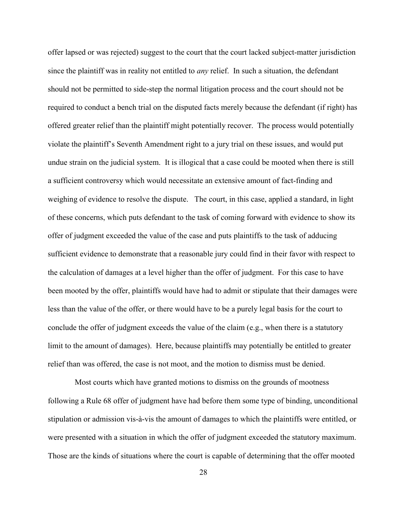offer lapsed or was rejected) suggest to the court that the court lacked subject-matter jurisdiction since the plaintiff was in reality not entitled to *any* relief. In such a situation, the defendant should not be permitted to side-step the normal litigation process and the court should not be required to conduct a bench trial on the disputed facts merely because the defendant (if right) has offered greater relief than the plaintiff might potentially recover. The process would potentially violate the plaintiff's Seventh Amendment right to a jury trial on these issues, and would put undue strain on the judicial system. It is illogical that a case could be mooted when there is still a sufficient controversy which would necessitate an extensive amount of fact-finding and weighing of evidence to resolve the dispute. The court, in this case, applied a standard, in light of these concerns, which puts defendant to the task of coming forward with evidence to show its offer of judgment exceeded the value of the case and puts plaintiffs to the task of adducing sufficient evidence to demonstrate that a reasonable jury could find in their favor with respect to the calculation of damages at a level higher than the offer of judgment. For this case to have been mooted by the offer, plaintiffs would have had to admit or stipulate that their damages were less than the value of the offer, or there would have to be a purely legal basis for the court to conclude the offer of judgment exceeds the value of the claim (e.g., when there is a statutory limit to the amount of damages). Here, because plaintiffs may potentially be entitled to greater relief than was offered, the case is not moot, and the motion to dismiss must be denied.

Most courts which have granted motions to dismiss on the grounds of mootness following a Rule 68 offer of judgment have had before them some type of binding, unconditional stipulation or admission vis-à-vis the amount of damages to which the plaintiffs were entitled, or were presented with a situation in which the offer of judgment exceeded the statutory maximum. Those are the kinds of situations where the court is capable of determining that the offer mooted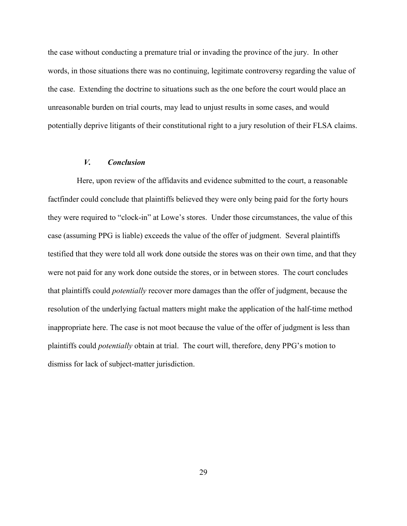the case without conducting a premature trial or invading the province of the jury. In other words, in those situations there was no continuing, legitimate controversy regarding the value of the case. Extending the doctrine to situations such as the one before the court would place an unreasonable burden on trial courts, may lead to unjust results in some cases, and would potentially deprive litigants of their constitutional right to a jury resolution of their FLSA claims.

# *V. Conclusion*

Here, upon review of the affidavits and evidence submitted to the court, a reasonable factfinder could conclude that plaintiffs believed they were only being paid for the forty hours they were required to "clock-in" at Lowe's stores. Under those circumstances, the value of this case (assuming PPG is liable) exceeds the value of the offer of judgment. Several plaintiffs testified that they were told all work done outside the stores was on their own time, and that they were not paid for any work done outside the stores, or in between stores. The court concludes that plaintiffs could *potentially* recover more damages than the offer of judgment, because the resolution of the underlying factual matters might make the application of the half-time method inappropriate here. The case is not moot because the value of the offer of judgment is less than plaintiffs could *potentially* obtain at trial. The court will, therefore, deny PPG's motion to dismiss for lack of subject-matter jurisdiction.